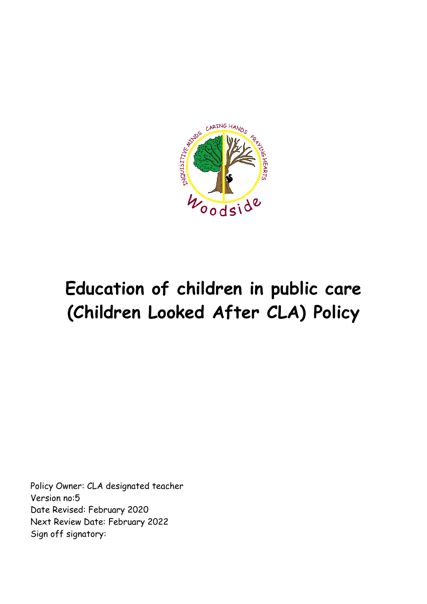

# **Education of children in public care (Children Looked After CLA) Policy**

Policy Owner: CLA designated teacher Version no:5 Date Revised: February 2020 Next Review Date: February 2022 Sign off signatory: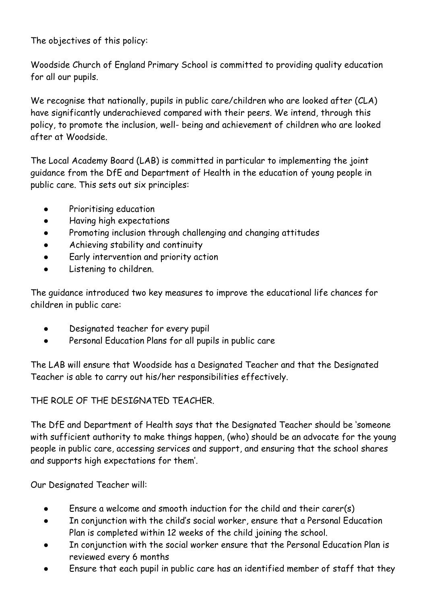The objectives of this policy:

Woodside Church of England Primary School is committed to providing quality education for all our pupils.

We recognise that nationally, pupils in public care/children who are looked after (CLA) have significantly underachieved compared with their peers. We intend, through this policy, to promote the inclusion, well- being and achievement of children who are looked after at Woodside.

The Local Academy Board (LAB) is committed in particular to implementing the joint guidance from the DfE and Department of Health in the education of young people in public care. This sets out six principles:

- Prioritising education
- Having high expectations
- Promoting inclusion through challenging and changing attitudes
- Achieving stability and continuity
- Early intervention and priority action
- Listening to children.

The guidance introduced two key measures to improve the educational life chances for children in public care:

- Designated teacher for every pupil
- Personal Education Plans for all pupils in public care

The LAB will ensure that Woodside has a Designated Teacher and that the Designated Teacher is able to carry out his/her responsibilities effectively.

THE ROLE OF THE DESIGNATED TEACHER.

The DfE and Department of Health says that the Designated Teacher should be 'someone with sufficient authority to make things happen, (who) should be an advocate for the young people in public care, accessing services and support, and ensuring that the school shares and supports high expectations for them'.

Our Designated Teacher will:

- Ensure a welcome and smooth induction for the child and their carer(s)
- In conjunction with the child's social worker, ensure that a Personal Education Plan is completed within 12 weeks of the child joining the school.
- In conjunction with the social worker ensure that the Personal Education Plan is reviewed every 6 months
- Ensure that each pupil in public care has an identified member of staff that they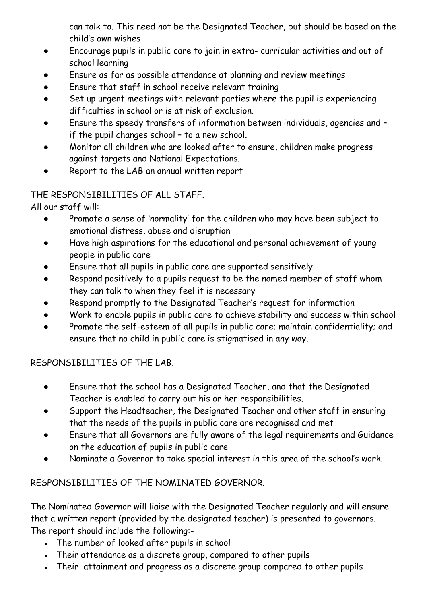can talk to. This need not be the Designated Teacher, but should be based on the child's own wishes

- Encourage pupils in public care to join in extra- curricular activities and out of school learning
- Ensure as far as possible attendance at planning and review meetings
- Ensure that staff in school receive relevant training
- Set up urgent meetings with relevant parties where the pupil is experiencing difficulties in school or is at risk of exclusion.
- Ensure the speedy transfers of information between individuals, agencies and if the pupil changes school – to a new school.
- Monitor all children who are looked after to ensure, children make progress against targets and National Expectations.
- Report to the LAB an annual written report

## THE RESPONSIBILITIES OF ALL STAFF.

All our staff will:

- Promote a sense of 'normality' for the children who may have been subject to emotional distress, abuse and disruption
- Have high aspirations for the educational and personal achievement of young people in public care
- Ensure that all pupils in public care are supported sensitively
- Respond positively to a pupils request to be the named member of staff whom they can talk to when they feel it is necessary
- Respond promptly to the Designated Teacher's request for information
- Work to enable pupils in public care to achieve stability and success within school
- Promote the self-esteem of all pupils in public care; maintain confidentiality; and ensure that no child in public care is stigmatised in any way.

## RESPONSIBILITIES OF THE LAB.

- Ensure that the school has a Designated Teacher, and that the Designated Teacher is enabled to carry out his or her responsibilities.
- Support the Headteacher, the Designated Teacher and other staff in ensuring that the needs of the pupils in public care are recognised and met
- Ensure that all Governors are fully aware of the legal requirements and Guidance on the education of pupils in public care
- Nominate a Governor to take special interest in this area of the school's work.

## RESPONSIBILITIES OF THE NOMINATED GOVERNOR.

The Nominated Governor will liaise with the Designated Teacher regularly and will ensure that a written report (provided by the designated teacher) is presented to governors. The report should include the following:-

- The number of looked after pupils in school
- Their attendance as a discrete group, compared to other pupils
- Their attainment and progress as a discrete group compared to other pupils